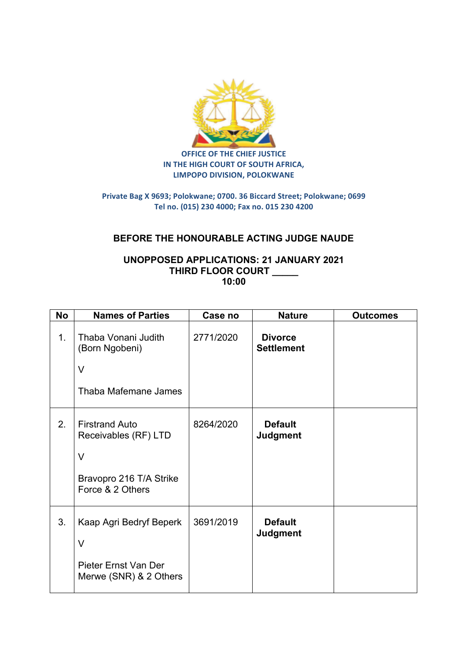

**OFFICE OF THE CHIEF JUSTICE IN THE HIGH COURT OF SOUTH AFRICA, LIMPOPO DIVISION, POLOKWANE** 

## **Private Bag X 9693; Polokwane; 0700. 36 Biccard Street; Polokwane; 0699 Tel no. (015) 230 4000; Fax no. 015 230 4200**

## **BEFORE THE HONOURABLE ACTING JUDGE NAUDE**

## **UNOPPOSED APPLICATIONS: 21 JANUARY 2021 THIRD FLOOR COURT \_\_\_\_\_ 10:00**

| <b>No</b> | <b>Names of Parties</b>                                                                                | Case no   | <b>Nature</b>                       | <b>Outcomes</b> |
|-----------|--------------------------------------------------------------------------------------------------------|-----------|-------------------------------------|-----------------|
| 1.        | Thaba Vonani Judith<br>(Born Ngobeni)<br>$\vee$<br>Thaba Mafemane James                                | 2771/2020 | <b>Divorce</b><br><b>Settlement</b> |                 |
| 2.        | <b>Firstrand Auto</b><br>Receivables (RF) LTD<br>$\vee$<br>Bravopro 216 T/A Strike<br>Force & 2 Others | 8264/2020 | <b>Default</b><br><b>Judgment</b>   |                 |
| 3.        | Kaap Agri Bedryf Beperk<br>$\vee$<br>Pieter Ernst Van Der<br>Merwe (SNR) & 2 Others                    | 3691/2019 | <b>Default</b><br><b>Judgment</b>   |                 |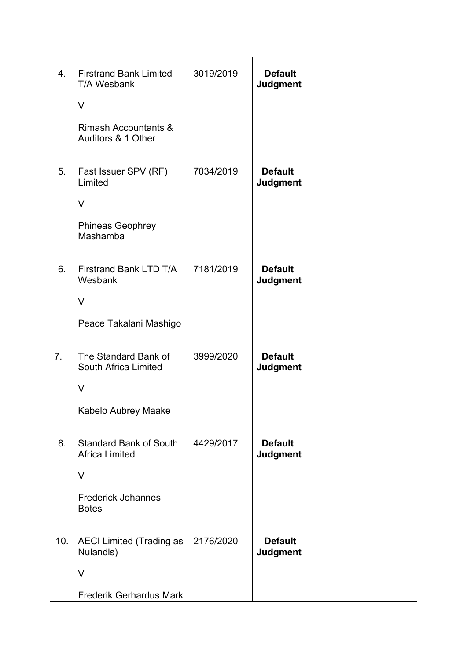| 4.  | <b>Firstrand Bank Limited</b><br>T/A Wesbank<br>V<br><b>Rimash Accountants &amp;</b><br>Auditors & 1 Other | 3019/2019 | <b>Default</b><br><b>Judgment</b> |  |
|-----|------------------------------------------------------------------------------------------------------------|-----------|-----------------------------------|--|
| 5.  | Fast Issuer SPV (RF)<br>Limited<br>$\vee$<br><b>Phineas Geophrey</b><br>Mashamba                           | 7034/2019 | <b>Default</b><br><b>Judgment</b> |  |
| 6.  | Firstrand Bank LTD T/A<br>Wesbank<br>$\vee$<br>Peace Takalani Mashigo                                      | 7181/2019 | <b>Default</b><br><b>Judgment</b> |  |
| 7.  | The Standard Bank of<br>South Africa Limited<br>V<br>Kabelo Aubrey Maake                                   | 3999/2020 | <b>Default</b><br><b>Judgment</b> |  |
| 8.  | <b>Standard Bank of South</b><br><b>Africa Limited</b><br>V<br><b>Frederick Johannes</b><br><b>Botes</b>   | 4429/2017 | <b>Default</b><br><b>Judgment</b> |  |
| 10. | <b>AECI Limited (Trading as</b><br>Nulandis)<br>$\vee$<br><b>Frederik Gerhardus Mark</b>                   | 2176/2020 | <b>Default</b><br><b>Judgment</b> |  |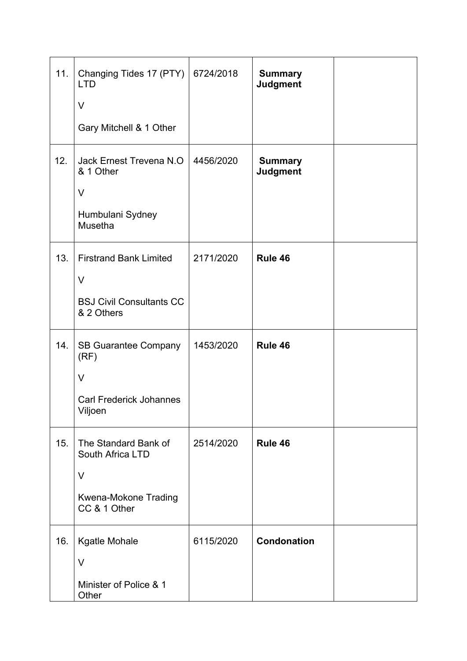| 11. | Changing Tides 17 (PTY)<br><b>LTD</b><br>V<br>Gary Mitchell & 1 Other                      | 6724/2018 | <b>Summary</b><br><b>Judgment</b> |  |
|-----|--------------------------------------------------------------------------------------------|-----------|-----------------------------------|--|
| 12. | Jack Ernest Trevena N.O.<br>& 1 Other<br>$\vee$<br>Humbulani Sydney<br>Musetha             | 4456/2020 | <b>Summary</b><br><b>Judgment</b> |  |
| 13. | <b>Firstrand Bank Limited</b><br>$\vee$<br><b>BSJ Civil Consultants CC</b><br>& 2 Others   | 2171/2020 | Rule 46                           |  |
| 14. | <b>SB Guarantee Company</b><br>(RF)<br>$\vee$<br><b>Carl Frederick Johannes</b><br>Viljoen | 1453/2020 | Rule 46                           |  |
| 15. | The Standard Bank of<br>South Africa LTD<br>V<br>Kwena-Mokone Trading<br>CC & 1 Other      | 2514/2020 | Rule 46                           |  |
| 16. | Kgatle Mohale<br>V<br>Minister of Police & 1<br>Other                                      | 6115/2020 | <b>Condonation</b>                |  |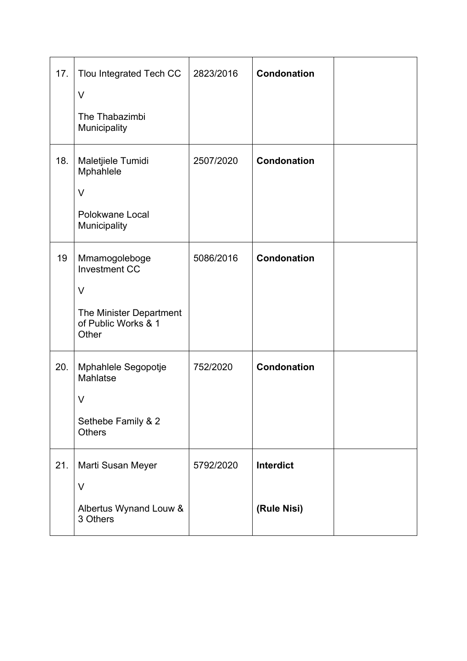| 17. | Tlou Integrated Tech CC<br>$\vee$<br>The Thabazimbi<br>Municipality                                        | 2823/2016 | <b>Condonation</b>              |  |
|-----|------------------------------------------------------------------------------------------------------------|-----------|---------------------------------|--|
| 18. | Maletjiele Tumidi<br>Mphahlele<br>$\vee$<br>Polokwane Local<br>Municipality                                | 2507/2020 | <b>Condonation</b>              |  |
| 19  | Mmamogoleboge<br><b>Investment CC</b><br>$\vee$<br>The Minister Department<br>of Public Works & 1<br>Other | 5086/2016 | <b>Condonation</b>              |  |
| 20. | Mphahlele Segopotje<br>Mahlatse<br>V<br>Sethebe Family & 2<br><b>Others</b>                                | 752/2020  | <b>Condonation</b>              |  |
| 21. | Marti Susan Meyer<br>V<br>Albertus Wynand Louw &<br>3 Others                                               | 5792/2020 | <b>Interdict</b><br>(Rule Nisi) |  |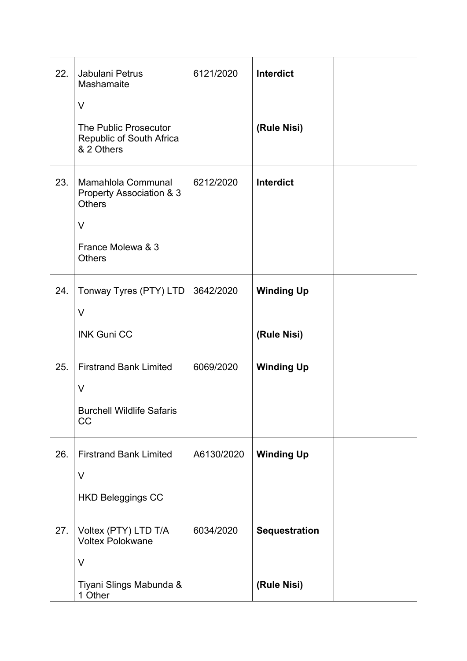| 22. | Jabulani Petrus<br>Mashamaite<br>V                                                                              | 6121/2020  | Interdict                           |  |
|-----|-----------------------------------------------------------------------------------------------------------------|------------|-------------------------------------|--|
|     | The Public Prosecutor<br>Republic of South Africa<br>& 2 Others                                                 |            | (Rule Nisi)                         |  |
| 23. | Mamahlola Communal<br>Property Association & 3<br><b>Others</b><br>$\vee$<br>France Molewa & 3<br><b>Others</b> | 6212/2020  | Interdict                           |  |
| 24. | Tonway Tyres (PTY) LTD<br>$\vee$<br><b>INK Guni CC</b>                                                          | 3642/2020  | <b>Winding Up</b><br>(Rule Nisi)    |  |
| 25. | <b>Firstrand Bank Limited</b><br>$\vee$<br><b>Burchell Wildlife Safaris</b><br>CC                               | 6069/2020  | <b>Winding Up</b>                   |  |
| 26. | <b>Firstrand Bank Limited</b><br>V<br><b>HKD Beleggings CC</b>                                                  | A6130/2020 | <b>Winding Up</b>                   |  |
| 27. | Voltex (PTY) LTD T/A<br><b>Voltex Polokwane</b><br>$\vee$<br>Tiyani Slings Mabunda &                            | 6034/2020  | <b>Sequestration</b><br>(Rule Nisi) |  |
|     | 1 Other                                                                                                         |            |                                     |  |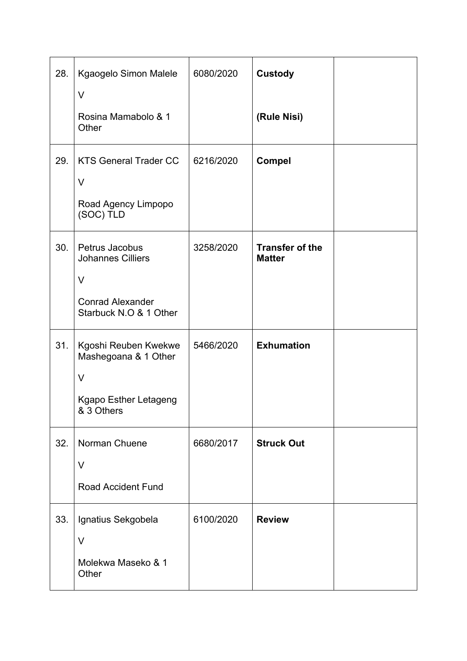| 28. | Kgaogelo Simon Malele<br>V                                                                           | 6080/2020 | <b>Custody</b>                          |  |
|-----|------------------------------------------------------------------------------------------------------|-----------|-----------------------------------------|--|
|     | Rosina Mamabolo & 1<br>Other                                                                         |           | (Rule Nisi)                             |  |
| 29. | <b>KTS General Trader CC</b><br>V<br>Road Agency Limpopo<br>(SOC) TLD                                | 6216/2020 | <b>Compel</b>                           |  |
| 30. | Petrus Jacobus<br><b>Johannes Cilliers</b><br>V<br><b>Conrad Alexander</b><br>Starbuck N.O & 1 Other | 3258/2020 | <b>Transfer of the</b><br><b>Matter</b> |  |
| 31. | Kgoshi Reuben Kwekwe<br>Mashegoana & 1 Other<br>$\vee$<br>Kgapo Esther Letageng<br>& 3 Others        | 5466/2020 | <b>Exhumation</b>                       |  |
| 32. | Norman Chuene<br>V<br><b>Road Accident Fund</b>                                                      | 6680/2017 | <b>Struck Out</b>                       |  |
| 33. | Ignatius Sekgobela<br>V<br>Molekwa Maseko & 1<br>Other                                               | 6100/2020 | <b>Review</b>                           |  |